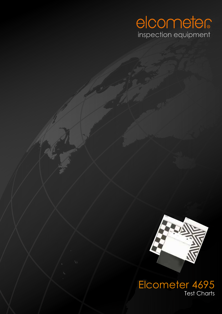



electric material properties of the company of the company of the company of the company of the company of the company of the company of the company of the company of the company of the company of the company of the compan Elcometer 4695 Test Charts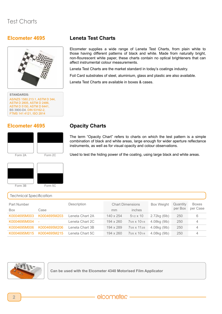### **Elcometer 4695**



**STANDARDS:** AS/NZS 1580.213.1, ASTM D 344, ASTM D 2805, ASTM D 2486, ASTM D 5150, ASTM D 6441, BS 3900-D4, DIN 53162-2, FTMS 141 4121, ISO 2814

### **Elcometer 4695**



Form 2A Form 2C

Used to test the hiding power of the coating, using large black and white areas.

instruments, as well as for visual opacity and colour observations.

The term "Opacity Chart" refers to charts on which the test pattern is a simple combination of black and white areas, large enough for wider aperture reflectance

Elcometer supplies a wide range of Leneta Test Charts, from plain white to those having different patterns of black and white. Made from naturally bright, non-flourescent white paper, these charts contain no optical brighteners that can

Leneta Test Charts are the market standard in today's coatings industry.

Foil Card substrates of steel, aluminium, glass and plastic are also available.



#### Technical Specification Part Number **Description** Description Chart Dimensions Box Weight Quantity per Box Boxes per Case Box Case mm inches K0004695M003 K0004695M203 Leneta Chart 2A 140 x 254 51/2 x 10 2.72kg (6lb) 250 6 K0004695M004 - Leneta Chart 2C 194 x 260 75/8 x 101/4 4.08kg (9lb) 250 4 K0004695M006 K0004695M206 Leneta Chart 3B 194 x 289 75/8 x 113/8 4.08kg (9lb) 250 4 K0004695M015 K0004695M215 Leneta Chart 5C 194 x 260 75/8 x 101/4 4.08kg (9lb) 250 4

**Opacity Charts**

**Leneta Test Charts**

affect instrumental colour measurements.

Leneta Test Charts are available in boxes & cases.



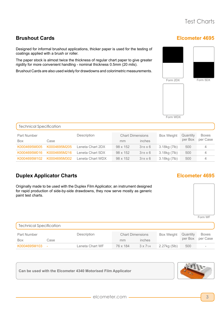**Elcometer 4695**

### **Brushout Cards**

Designed for informal brushout applications, thicker paper is used for the testing of coatings applied with a brush or roller.

The paper stock is almost twice the thickness of regular chart paper to give greater rigidity for more convenient handling - nominal thickness 0.5mm (20 mils).

Brushout Cards are also used widely for drawdowns and colorimetric measurements.



Form WDX

| Technical Specification |              |                  |                         |                 |                   |                     |                          |  |  |
|-------------------------|--------------|------------------|-------------------------|-----------------|-------------------|---------------------|--------------------------|--|--|
| Part Number             | Description  |                  | <b>Chart Dimensions</b> |                 | <b>Box Weight</b> | Quantity<br>per Box | <b>Boxes</b><br>per Case |  |  |
| <b>Box</b>              | Case         |                  | mm                      | inches          |                   |                     |                          |  |  |
| K0004695M005            | K0004695M205 | Leneta Chart 2DX | 98 x 152                | $37/8 \times 6$ | 3.18kg (7lb)      | 500                 | 4                        |  |  |
| K0004695M016            | K0004695M216 | Leneta Chart 5DX | 98 x 152                | $37/8 \times 6$ | 3.18kg (7lb)      | 500                 | $\overline{4}$           |  |  |
| K0004695M102            | K0004695M302 | Leneta Chart WDX | 98 x 152                | $37/8 \times 6$ | 3.18kg (7lb)      | 500                 | 4                        |  |  |

# **Duplex Applicator Charts**

Originally made to be used with the Duplex Film Applicator, an instrument designed for rapid production of side-by-side drawdowns, they now serve mostly as generic paint test charts.

# **Elcometer 4695**



Form WF

| <b>Technical Specification</b> |      |                 |                         |                 |                   |          |              |  |  |
|--------------------------------|------|-----------------|-------------------------|-----------------|-------------------|----------|--------------|--|--|
| Part Number                    |      | Description     | <b>Chart Dimensions</b> |                 | <b>Box Weight</b> | Quantity | <b>Boxes</b> |  |  |
| Box                            | Case |                 | mm                      | inches          |                   | per Box  | per Case     |  |  |
| K0004695M103 -                 |      | Leneta Chart WF | 76 x 184                | $3 \times 71/4$ | 2.27kg (5lb)      | 500      |              |  |  |



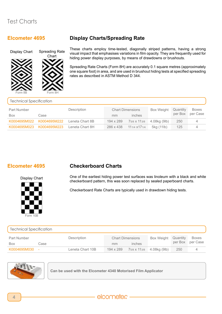#### **Elcometer 4695**



# **Display Charts/Spreading Rate**

These charts employ time-tested, diagonally striped patterns, having a strong visual impact that emphasises variations in film opacity. They are frequently used for hiding power display purposes, by means of drawdowns or brushouts.

Spreading Rate Charts (Form 8H) are accurately 0.1 square metres (approximately one square foot) in area, and are used in brushout hiding tests at specified spreading rates as described in ASTM Method D 344.

| <b>Technical Specification</b> |              |                 |                         |                                      |                   |          |              |  |
|--------------------------------|--------------|-----------------|-------------------------|--------------------------------------|-------------------|----------|--------------|--|
| <b>Part Number</b>             |              | Description     | <b>Chart Dimensions</b> |                                      | <b>Box Weight</b> | Quantity | <b>Boxes</b> |  |
| Box                            | Case         |                 | mm                      | inches                               |                   | per Box  | per Case     |  |
| K0004695M022                   | K0004695M222 | Leneta Chart 8B | 194 x 289               | 75/8 X 113/8                         | 4.08kg (9lb)      | 250      |              |  |
| K0004695M023                   | K0004695M223 | Leneta Chart 8H | 286 x 438               | 11 <sub>1/4</sub> x17 <sub>1/4</sub> | 5kg (11lb)        | 125      |              |  |

### **Elcometer 4695**

Form 10B

Display Chart

### **Checkerboard Charts**

One of the earliest hiding power test surfaces was linoleum with a black and white checkerboard pattern, this was soon replaced by sealed paperboard charts.

Checkerboard Rate Charts are typically used in drawdown hiding tests.

| <b>Technical Specification</b> |      |                  |                                         |  |                                                   |                     |                          |  |
|--------------------------------|------|------------------|-----------------------------------------|--|---------------------------------------------------|---------------------|--------------------------|--|
| <b>Part Number</b><br>Box      | Case | Description      | <b>Chart Dimensions</b><br>inches<br>mm |  | <b>Box Weight</b>                                 | Quantity<br>per Box | <b>Boxes</b><br>per Case |  |
| K0004695M030 -                 |      | Leneta Chart 10B | 194 x 289                               |  | 7 <sub>5/8</sub> x 11 <sub>3/8</sub> 4.08kg (9lb) | 250                 |                          |  |



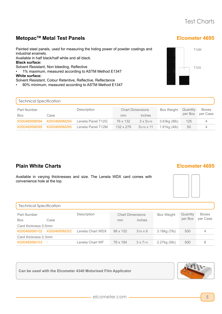### **MetopacTM Metal Test Panels**

Painted steel panels, used for measuring the hiding power of powder coatings and industrial enamels.

Available in half black/half white and all black.

**Black surface:**

Solvent Resistant, Non bleeding, Reflective

• 1% maximum, measured according to ASTM Method E1347 **White surface:**

- Solvent Resistant, Colour Retentive, Reflective, Reflectance
- 80% minimum, measured according to ASTM Method E1347

### **Elcometer 4695**



| <b>Technical Specification</b>    |              |                   |                                         |                   |                       |                     |                          |  |  |
|-----------------------------------|--------------|-------------------|-----------------------------------------|-------------------|-----------------------|---------------------|--------------------------|--|--|
| Part Number<br><b>Box</b><br>Case |              | Description       | <b>Chart Dimensions</b><br>inches<br>mm |                   | <b>Box Weight</b>     | Quantity<br>per Box | <b>Boxes</b><br>per Case |  |  |
| K0004695M094                      | K0004695M294 | Leneta Panel T12G | 76 x 132                                | $3 \times 53/16$  | 3.63kg (8lb)          | 125                 |                          |  |  |
| K0004695M095                      | K0004695M295 | Leneta Panel T12M | 132 x 279                               | $53/16 \times 11$ | $1.81$ kg $(4$ lb $)$ | 50                  |                          |  |  |

# **Plain White Charts**

#### **Elcometer 4695**

Available in varying thicknesses and size. The Leneta WDX card comes with convenience hole at the top.



| <b>Technical Specification</b>             |              |                  |                                         |                 |                   |                     |                          |  |  |
|--------------------------------------------|--------------|------------------|-----------------------------------------|-----------------|-------------------|---------------------|--------------------------|--|--|
| <b>Part Number</b>                         |              | Description      | <b>Chart Dimensions</b><br>inches<br>mm |                 | <b>Box Weight</b> | Quantity<br>per Box | <b>Boxes</b><br>per Case |  |  |
| Case<br><b>Box</b><br>Card thickness 0.5mm |              |                  |                                         |                 |                   |                     |                          |  |  |
| K0004695M102                               | K0004695M302 | Leneta Chart WDX | 98 x 152                                | $37/8 \times 6$ | 3.18kg (7lb)      | 500                 |                          |  |  |
| Card thickness 0.3mm                       |              |                  |                                         |                 |                   |                     |                          |  |  |
| K0004695M103 -                             |              | Leneta Chart WF  | 76 x 184                                | $3 \times 71/4$ | 2.27kg (5lb)      | 500                 | 6                        |  |  |